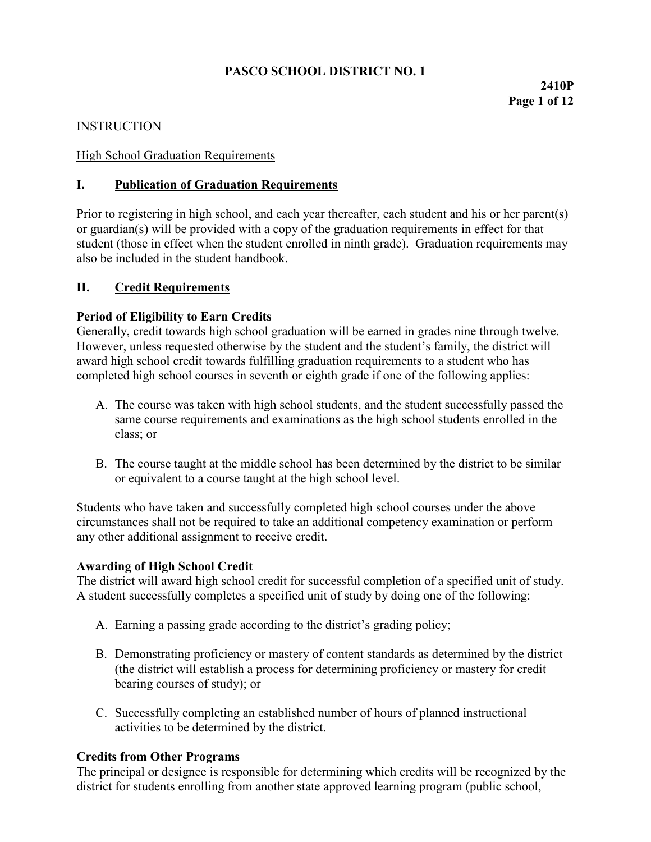# **PASCO SCHOOL DISTRICT NO. 1**

## **INSTRUCTION**

### High School Graduation Requirements

### **I. Publication of Graduation Requirements**

Prior to registering in high school, and each year thereafter, each student and his or her parent(s) or guardian(s) will be provided with a copy of the graduation requirements in effect for that student (those in effect when the student enrolled in ninth grade). Graduation requirements may also be included in the student handbook.

### **II. Credit Requirements**

### **Period of Eligibility to Earn Credits**

Generally, credit towards high school graduation will be earned in grades nine through twelve. However, unless requested otherwise by the student and the student's family, the district will award high school credit towards fulfilling graduation requirements to a student who has completed high school courses in seventh or eighth grade if one of the following applies:

- A. The course was taken with high school students, and the student successfully passed the same course requirements and examinations as the high school students enrolled in the class; or
- B. The course taught at the middle school has been determined by the district to be similar or equivalent to a course taught at the high school level.

Students who have taken and successfully completed high school courses under the above circumstances shall not be required to take an additional competency examination or perform any other additional assignment to receive credit.

#### **Awarding of High School Credit**

The district will award high school credit for successful completion of a specified unit of study. A student successfully completes a specified unit of study by doing one of the following:

- A. Earning a passing grade according to the district's grading policy;
- B. Demonstrating proficiency or mastery of content standards as determined by the district (the district will establish a process for determining proficiency or mastery for credit bearing courses of study); or
- C. Successfully completing an established number of hours of planned instructional activities to be determined by the district.

#### **Credits from Other Programs**

The principal or designee is responsible for determining which credits will be recognized by the district for students enrolling from another state approved learning program (public school,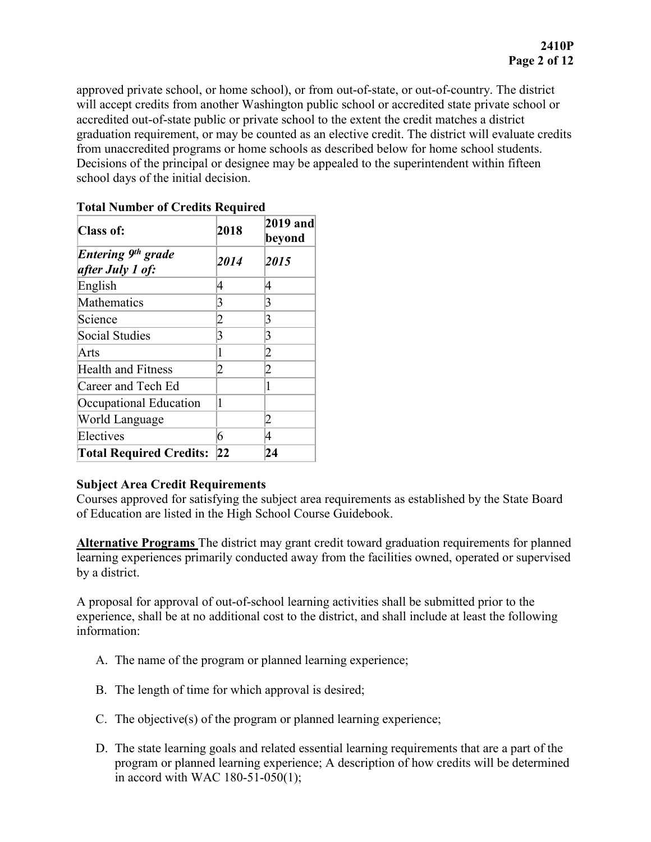approved private school, or home school), or from out-of-state, or out-of-country. The district will accept credits from another Washington public school or accredited state private school or accredited out-of-state public or private school to the extent the credit matches a district graduation requirement, or may be counted as an elective credit. The district will evaluate credits from unaccredited programs or home schools as described below for home school students. Decisions of the principal or designee may be appealed to the superintendent within fifteen school days of the initial decision.

| <b>Class of:</b>                                   | 2018           | 2019 and<br>beyond |
|----------------------------------------------------|----------------|--------------------|
| Entering 9 <sup>th</sup> grade<br>after July 1 of: | 2014           | 2015               |
| English                                            | 4              | 4                  |
| Mathematics                                        | 3              | З                  |
| Science                                            | 2              | 3                  |
| <b>Social Studies</b>                              | 3              | 3                  |
| Arts                                               | 1              | 2                  |
| <b>Health and Fitness</b>                          | $\overline{2}$ | 2                  |
| Career and Tech Ed                                 |                | 1                  |
| Occupational Education                             | 1              |                    |
| World Language                                     |                | 2                  |
| Electives                                          | 6              | 4                  |
| <b>Total Required Credits:</b>                     | 22             | 24                 |

### **Total Number of Credits Required**

#### **Subject Area Credit Requirements**

Courses approved for satisfying the subject area requirements as established by the State Board of Education are listed in the High School Course Guidebook.

**Alternative Programs** The district may grant credit toward graduation requirements for planned learning experiences primarily conducted away from the facilities owned, operated or supervised by a district.

A proposal for approval of out-of-school learning activities shall be submitted prior to the experience, shall be at no additional cost to the district, and shall include at least the following information:

- A. The name of the program or planned learning experience;
- B. The length of time for which approval is desired;
- C. The objective(s) of the program or planned learning experience;
- D. The state learning goals and related essential learning requirements that are a part of the program or planned learning experience; A description of how credits will be determined in accord with WAC 180-51-050(1);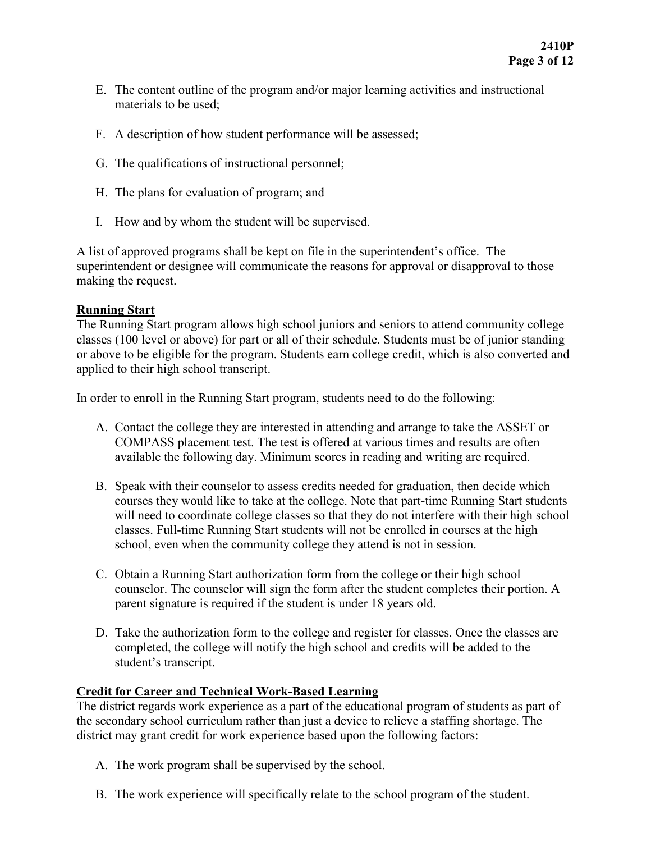- E. The content outline of the program and/or major learning activities and instructional materials to be used;
- F. A description of how student performance will be assessed;
- G. The qualifications of instructional personnel;
- H. The plans for evaluation of program; and
- I. How and by whom the student will be supervised.

A list of approved programs shall be kept on file in the superintendent's office. The superintendent or designee will communicate the reasons for approval or disapproval to those making the request.

### **Running Start**

The Running Start program allows high school juniors and seniors to attend community college classes (100 level or above) for part or all of their schedule. Students must be of junior standing or above to be eligible for the program. Students earn college credit, which is also converted and applied to their high school transcript.

In order to enroll in the Running Start program, students need to do the following:

- A. Contact the college they are interested in attending and arrange to take the ASSET or COMPASS placement test. The test is offered at various times and results are often available the following day. Minimum scores in reading and writing are required.
- B. Speak with their counselor to assess credits needed for graduation, then decide which courses they would like to take at the college. Note that part-time Running Start students will need to coordinate college classes so that they do not interfere with their high school classes. Full-time Running Start students will not be enrolled in courses at the high school, even when the community college they attend is not in session.
- C. Obtain a Running Start authorization form from the college or their high school counselor. The counselor will sign the form after the student completes their portion. A parent signature is required if the student is under 18 years old.
- D. Take the authorization form to the college and register for classes. Once the classes are completed, the college will notify the high school and credits will be added to the student's transcript.

## **Credit for Career and Technical Work-Based Learning**

The district regards work experience as a part of the educational program of students as part of the secondary school curriculum rather than just a device to relieve a staffing shortage. The district may grant credit for work experience based upon the following factors:

- A. The work program shall be supervised by the school.
- B. The work experience will specifically relate to the school program of the student.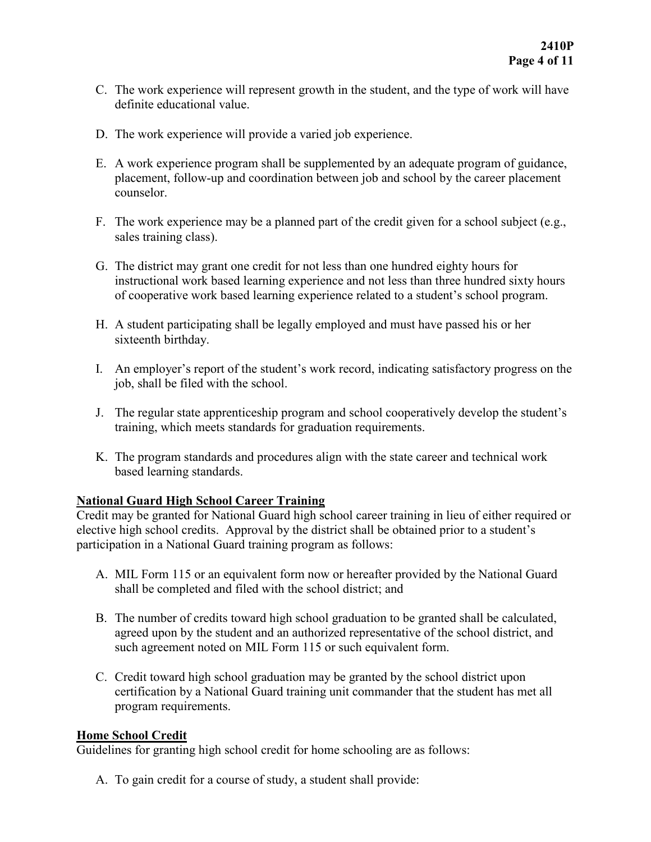- C. The work experience will represent growth in the student, and the type of work will have definite educational value.
- D. The work experience will provide a varied job experience.
- E. A work experience program shall be supplemented by an adequate program of guidance, placement, follow-up and coordination between job and school by the career placement counselor.
- F. The work experience may be a planned part of the credit given for a school subject (e.g., sales training class).
- G. The district may grant one credit for not less than one hundred eighty hours for instructional work based learning experience and not less than three hundred sixty hours of cooperative work based learning experience related to a student's school program.
- H. A student participating shall be legally employed and must have passed his or her sixteenth birthday.
- I. An employer's report of the student's work record, indicating satisfactory progress on the job, shall be filed with the school.
- J. The regular state apprenticeship program and school cooperatively develop the student's training, which meets standards for graduation requirements.
- K. The program standards and procedures align with the state career and technical work based learning standards.

## **National Guard High School Career Training**

Credit may be granted for National Guard high school career training in lieu of either required or elective high school credits. Approval by the district shall be obtained prior to a student's participation in a National Guard training program as follows:

- A. MIL Form 115 or an equivalent form now or hereafter provided by the National Guard shall be completed and filed with the school district; and
- B. The number of credits toward high school graduation to be granted shall be calculated, agreed upon by the student and an authorized representative of the school district, and such agreement noted on MIL Form 115 or such equivalent form.
- C. Credit toward high school graduation may be granted by the school district upon certification by a National Guard training unit commander that the student has met all program requirements.

#### **Home School Credit**

Guidelines for granting high school credit for home schooling are as follows:

A. To gain credit for a course of study, a student shall provide: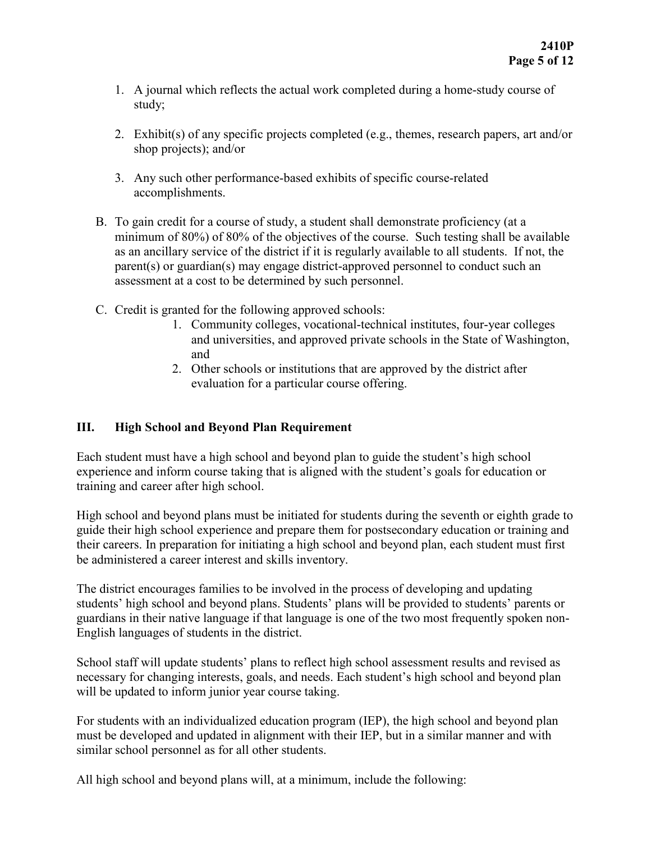- 1. A journal which reflects the actual work completed during a home-study course of study;
- 2. Exhibit(s) of any specific projects completed (e.g., themes, research papers, art and/or shop projects); and/or
- 3. Any such other performance-based exhibits of specific course-related accomplishments.
- B. To gain credit for a course of study, a student shall demonstrate proficiency (at a minimum of 80%) of 80% of the objectives of the course. Such testing shall be available as an ancillary service of the district if it is regularly available to all students. If not, the parent(s) or guardian(s) may engage district-approved personnel to conduct such an assessment at a cost to be determined by such personnel.
- C. Credit is granted for the following approved schools:
	- 1. Community colleges, vocational-technical institutes, four-year colleges and universities, and approved private schools in the State of Washington, and
	- 2. Other schools or institutions that are approved by the district after evaluation for a particular course offering.

## **III. High School and Beyond Plan Requirement**

Each student must have a high school and beyond plan to guide the student's high school experience and inform course taking that is aligned with the student's goals for education or training and career after high school.

High school and beyond plans must be initiated for students during the seventh or eighth grade to guide their high school experience and prepare them for postsecondary education or training and their careers. In preparation for initiating a high school and beyond plan, each student must first be administered a career interest and skills inventory.

The district encourages families to be involved in the process of developing and updating students' high school and beyond plans. Students' plans will be provided to students' parents or guardians in their native language if that language is one of the two most frequently spoken non-English languages of students in the district.

School staff will update students' plans to reflect high school assessment results and revised as necessary for changing interests, goals, and needs. Each student's high school and beyond plan will be updated to inform junior year course taking.

For students with an individualized education program (IEP), the high school and beyond plan must be developed and updated in alignment with their IEP, but in a similar manner and with similar school personnel as for all other students.

All high school and beyond plans will, at a minimum, include the following: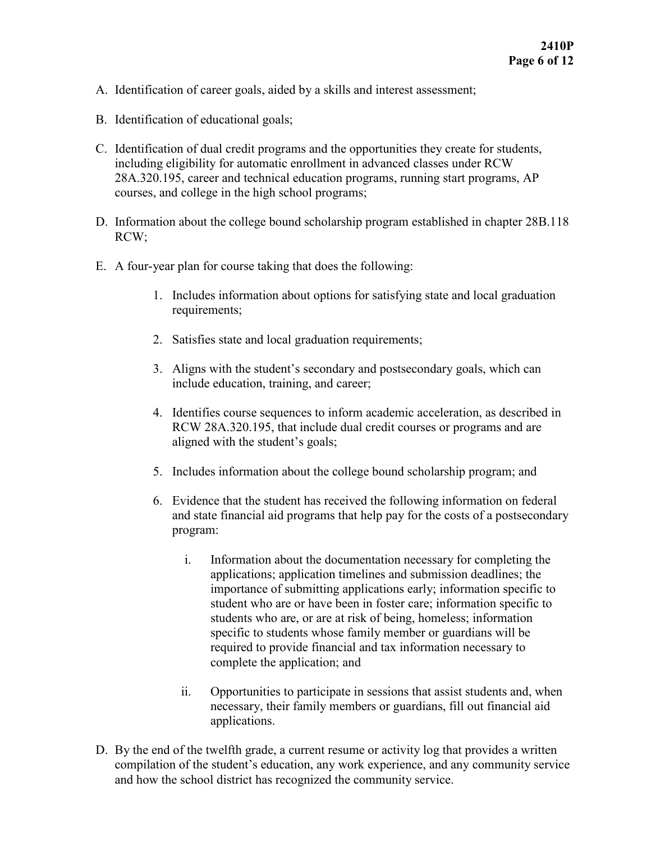- A. Identification of career goals, aided by a skills and interest assessment;
- B. Identification of educational goals;
- C. Identification of dual credit programs and the opportunities they create for students, including eligibility for automatic enrollment in advanced classes under RCW 28A.320.195, career and technical education programs, running start programs, AP courses, and college in the high school programs;
- D. Information about the college bound scholarship program established in chapter 28B.118 RCW;
- E. A four-year plan for course taking that does the following:
	- 1. Includes information about options for satisfying state and local graduation requirements;
	- 2. Satisfies state and local graduation requirements;
	- 3. Aligns with the student's secondary and postsecondary goals, which can include education, training, and career;
	- 4. Identifies course sequences to inform academic acceleration, as described in RCW 28A.320.195, that include dual credit courses or programs and are aligned with the student's goals;
	- 5. Includes information about the college bound scholarship program; and
	- 6. Evidence that the student has received the following information on federal and state financial aid programs that help pay for the costs of a postsecondary program:
		- i. Information about the documentation necessary for completing the applications; application timelines and submission deadlines; the importance of submitting applications early; information specific to student who are or have been in foster care; information specific to students who are, or are at risk of being, homeless; information specific to students whose family member or guardians will be required to provide financial and tax information necessary to complete the application; and
		- ii. Opportunities to participate in sessions that assist students and, when necessary, their family members or guardians, fill out financial aid applications.
- D. By the end of the twelfth grade, a current resume or activity log that provides a written compilation of the student's education, any work experience, and any community service and how the school district has recognized the community service.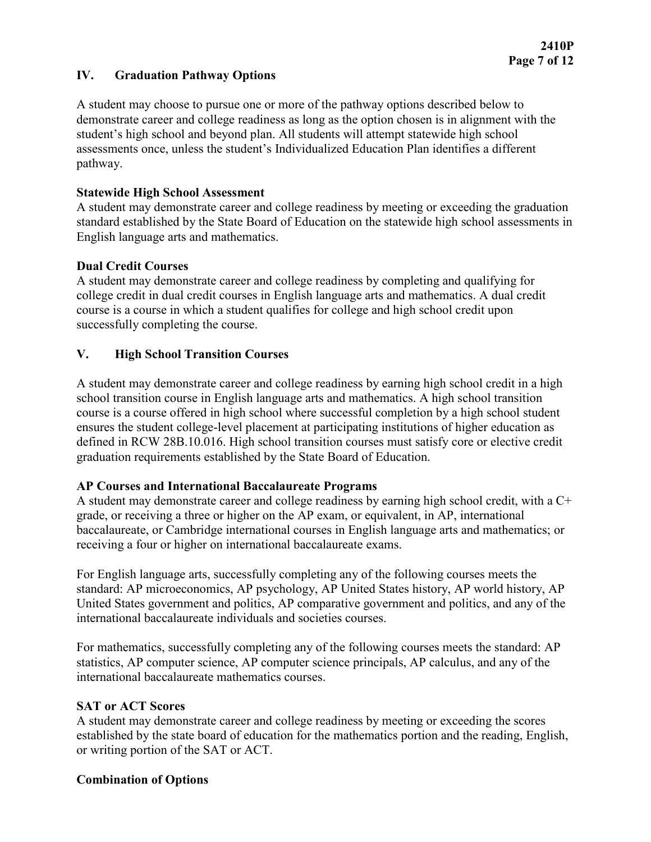### **IV. Graduation Pathway Options**

A student may choose to pursue one or more of the pathway options described below to demonstrate career and college readiness as long as the option chosen is in alignment with the student's high school and beyond plan. All students will attempt statewide high school assessments once, unless the student's Individualized Education Plan identifies a different pathway.

#### **Statewide High School Assessment**

A student may demonstrate career and college readiness by meeting or exceeding the graduation standard established by the State Board of Education on the statewide high school assessments in English language arts and mathematics.

### **Dual Credit Courses**

A student may demonstrate career and college readiness by completing and qualifying for college credit in dual credit courses in English language arts and mathematics. A dual credit course is a course in which a student qualifies for college and high school credit upon successfully completing the course.

## **V. High School Transition Courses**

A student may demonstrate career and college readiness by earning high school credit in a high school transition course in English language arts and mathematics. A high school transition course is a course offered in high school where successful completion by a high school student ensures the student college-level placement at participating institutions of higher education as defined in RCW 28B.10.016. High school transition courses must satisfy core or elective credit graduation requirements established by the State Board of Education.

## **AP Courses and International Baccalaureate Programs**

A student may demonstrate career and college readiness by earning high school credit, with a C+ grade, or receiving a three or higher on the AP exam, or equivalent, in AP, international baccalaureate, or Cambridge international courses in English language arts and mathematics; or receiving a four or higher on international baccalaureate exams.

For English language arts, successfully completing any of the following courses meets the standard: AP microeconomics, AP psychology, AP United States history, AP world history, AP United States government and politics, AP comparative government and politics, and any of the international baccalaureate individuals and societies courses.

For mathematics, successfully completing any of the following courses meets the standard: AP statistics, AP computer science, AP computer science principals, AP calculus, and any of the international baccalaureate mathematics courses.

#### **SAT or ACT Scores**

A student may demonstrate career and college readiness by meeting or exceeding the scores established by the state board of education for the mathematics portion and the reading, English, or writing portion of the SAT or ACT.

#### **Combination of Options**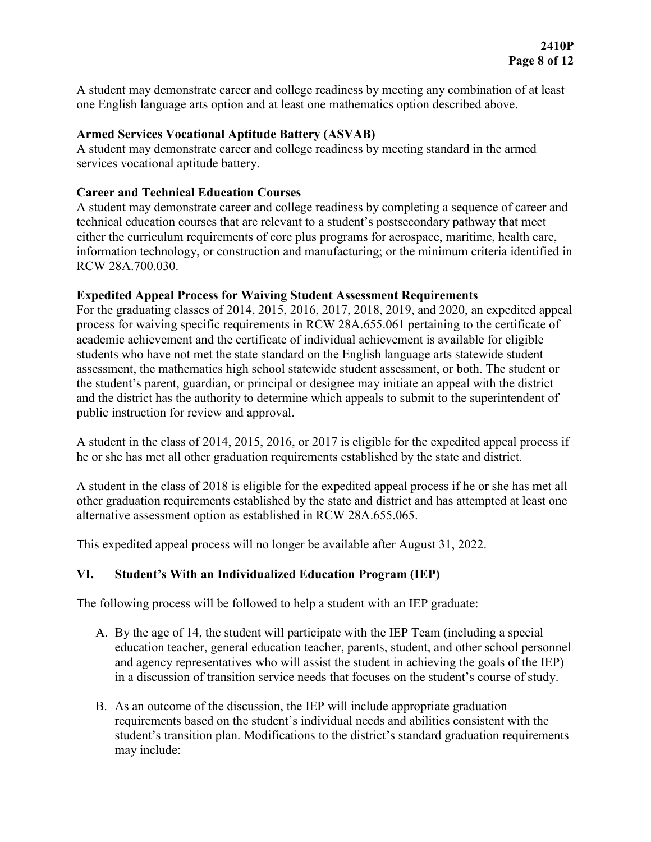A student may demonstrate career and college readiness by meeting any combination of at least one English language arts option and at least one mathematics option described above.

### **Armed Services Vocational Aptitude Battery (ASVAB)**

A student may demonstrate career and college readiness by meeting standard in the armed services vocational aptitude battery.

#### **Career and Technical Education Courses**

A student may demonstrate career and college readiness by completing a sequence of career and technical education courses that are relevant to a student's postsecondary pathway that meet either the curriculum requirements of core plus programs for aerospace, maritime, health care, information technology, or construction and manufacturing; or the minimum criteria identified in RCW 28A.700.030.

### **Expedited Appeal Process for Waiving Student Assessment Requirements**

For the graduating classes of 2014, 2015, 2016, 2017, 2018, 2019, and 2020, an expedited appeal process for waiving specific requirements in RCW 28A.655.061 pertaining to the certificate of academic achievement and the certificate of individual achievement is available for eligible students who have not met the state standard on the English language arts statewide student assessment, the mathematics high school statewide student assessment, or both. The student or the student's parent, guardian, or principal or designee may initiate an appeal with the district and the district has the authority to determine which appeals to submit to the superintendent of public instruction for review and approval.

A student in the class of 2014, 2015, 2016, or 2017 is eligible for the expedited appeal process if he or she has met all other graduation requirements established by the state and district.

A student in the class of 2018 is eligible for the expedited appeal process if he or she has met all other graduation requirements established by the state and district and has attempted at least one alternative assessment option as established in RCW 28A.655.065.

This expedited appeal process will no longer be available after August 31, 2022.

## **VI. Student's With an Individualized Education Program (IEP)**

The following process will be followed to help a student with an IEP graduate:

- A. By the age of 14, the student will participate with the IEP Team (including a special education teacher, general education teacher, parents, student, and other school personnel and agency representatives who will assist the student in achieving the goals of the IEP) in a discussion of transition service needs that focuses on the student's course of study.
- B. As an outcome of the discussion, the IEP will include appropriate graduation requirements based on the student's individual needs and abilities consistent with the student's transition plan. Modifications to the district's standard graduation requirements may include: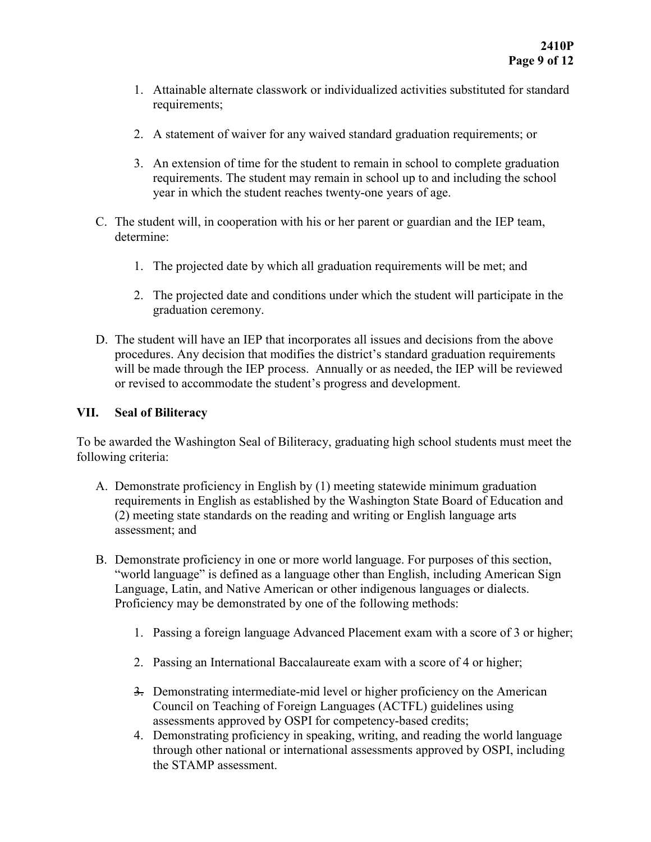- 1. Attainable alternate classwork or individualized activities substituted for standard requirements;
- 2. A statement of waiver for any waived standard graduation requirements; or
- 3. An extension of time for the student to remain in school to complete graduation requirements. The student may remain in school up to and including the school year in which the student reaches twenty-one years of age.
- C. The student will, in cooperation with his or her parent or guardian and the IEP team, determine:
	- 1. The projected date by which all graduation requirements will be met; and
	- 2. The projected date and conditions under which the student will participate in the graduation ceremony.
- D. The student will have an IEP that incorporates all issues and decisions from the above procedures. Any decision that modifies the district's standard graduation requirements will be made through the IEP process. Annually or as needed, the IEP will be reviewed or revised to accommodate the student's progress and development.

#### **VII. Seal of Biliteracy**

To be awarded the Washington Seal of Biliteracy, graduating high school students must meet the following criteria:

- A. Demonstrate proficiency in English by (1) meeting statewide minimum graduation requirements in English as established by the Washington State Board of Education and (2) meeting state standards on the reading and writing or English language arts assessment; and
- B. Demonstrate proficiency in one or more world language. For purposes of this section, "world language" is defined as a language other than English, including American Sign Language, Latin, and Native American or other indigenous languages or dialects. Proficiency may be demonstrated by one of the following methods:
	- 1. Passing a foreign language Advanced Placement exam with a score of 3 or higher;
	- 2. Passing an International Baccalaureate exam with a score of 4 or higher;
	- 3. Demonstrating intermediate-mid level or higher proficiency on the American Council on Teaching of Foreign Languages (ACTFL) guidelines using assessments approved by OSPI for competency-based credits;
	- 4. Demonstrating proficiency in speaking, writing, and reading the world language through other national or international assessments approved by OSPI, including the STAMP assessment.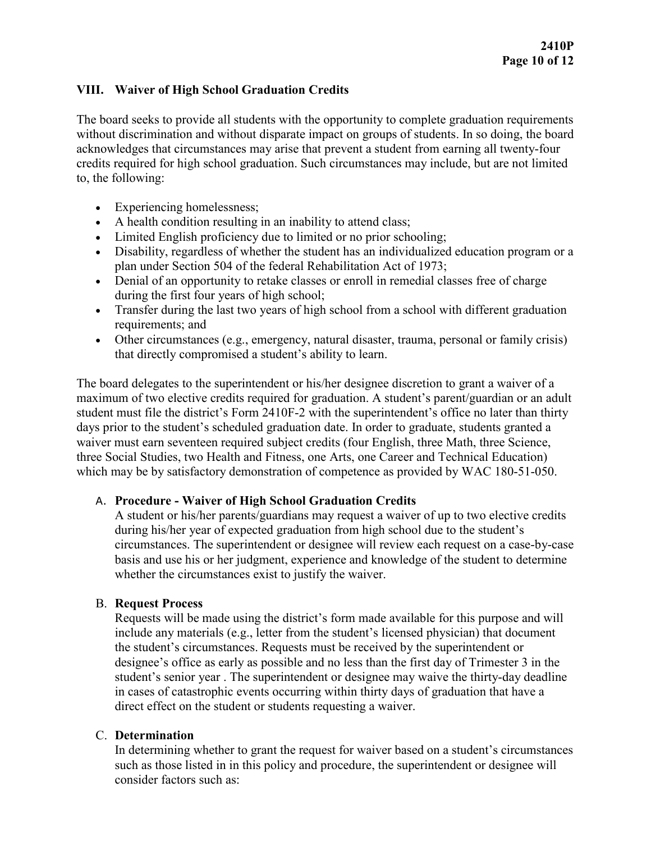## **VIII. Waiver of High School Graduation Credits**

The board seeks to provide all students with the opportunity to complete graduation requirements without discrimination and without disparate impact on groups of students. In so doing, the board acknowledges that circumstances may arise that prevent a student from earning all twenty-four credits required for high school graduation. Such circumstances may include, but are not limited to, the following:

- Experiencing homelessness;
- A health condition resulting in an inability to attend class;
- Limited English proficiency due to limited or no prior schooling;
- Disability, regardless of whether the student has an individualized education program or a plan under Section 504 of the federal Rehabilitation Act of 1973;
- Denial of an opportunity to retake classes or enroll in remedial classes free of charge during the first four years of high school;
- Transfer during the last two years of high school from a school with different graduation requirements; and
- Other circumstances (e.g., emergency, natural disaster, trauma, personal or family crisis) that directly compromised a student's ability to learn.

The board delegates to the superintendent or his/her designee discretion to grant a waiver of a maximum of two elective credits required for graduation. A student's parent/guardian or an adult student must file the district's Form 2410F-2 with the superintendent's office no later than thirty days prior to the student's scheduled graduation date. In order to graduate, students granted a waiver must earn seventeen required subject credits (four English, three Math, three Science, three Social Studies, two Health and Fitness, one Arts, one Career and Technical Education) which may be by satisfactory demonstration of competence as provided by WAC 180-51-050.

## A. **Procedure - Waiver of High School Graduation Credits**

A student or his/her parents/guardians may request a waiver of up to two elective credits during his/her year of expected graduation from high school due to the student's circumstances. The superintendent or designee will review each request on a case-by-case basis and use his or her judgment, experience and knowledge of the student to determine whether the circumstances exist to justify the waiver.

## B. **Request Process**

Requests will be made using the district's form made available for this purpose and will include any materials (e.g., letter from the student's licensed physician) that document the student's circumstances. Requests must be received by the superintendent or designee's office as early as possible and no less than the first day of Trimester 3 in the student's senior year . The superintendent or designee may waive the thirty-day deadline in cases of catastrophic events occurring within thirty days of graduation that have a direct effect on the student or students requesting a waiver.

## C. **Determination**

In determining whether to grant the request for waiver based on a student's circumstances such as those listed in in this policy and procedure, the superintendent or designee will consider factors such as: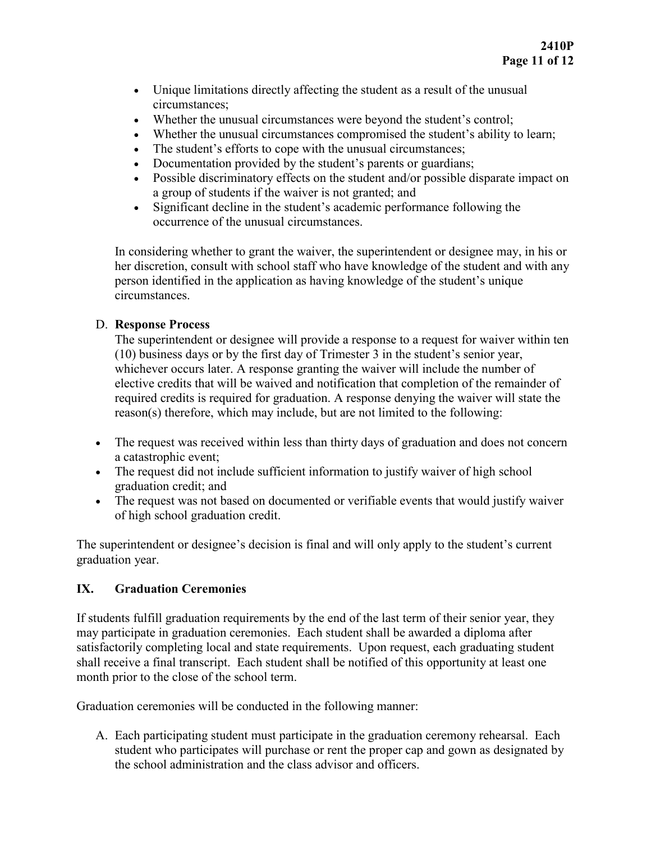- Unique limitations directly affecting the student as a result of the unusual circumstances;
- Whether the unusual circumstances were beyond the student's control;
- Whether the unusual circumstances compromised the student's ability to learn;
- The student's efforts to cope with the unusual circumstances;
- Documentation provided by the student's parents or guardians;
- Possible discriminatory effects on the student and/or possible disparate impact on a group of students if the waiver is not granted; and
- Significant decline in the student's academic performance following the occurrence of the unusual circumstances.

In considering whether to grant the waiver, the superintendent or designee may, in his or her discretion, consult with school staff who have knowledge of the student and with any person identified in the application as having knowledge of the student's unique circumstances.

# D. **Response Process**

The superintendent or designee will provide a response to a request for waiver within ten (10) business days or by the first day of Trimester 3 in the student's senior year, whichever occurs later. A response granting the waiver will include the number of elective credits that will be waived and notification that completion of the remainder of required credits is required for graduation. A response denying the waiver will state the reason(s) therefore, which may include, but are not limited to the following:

- The request was received within less than thirty days of graduation and does not concern a catastrophic event;
- The request did not include sufficient information to justify waiver of high school graduation credit; and
- The request was not based on documented or verifiable events that would justify waiver of high school graduation credit.

The superintendent or designee's decision is final and will only apply to the student's current graduation year.

# **IX. Graduation Ceremonies**

If students fulfill graduation requirements by the end of the last term of their senior year, they may participate in graduation ceremonies. Each student shall be awarded a diploma after satisfactorily completing local and state requirements. Upon request, each graduating student shall receive a final transcript. Each student shall be notified of this opportunity at least one month prior to the close of the school term.

Graduation ceremonies will be conducted in the following manner:

A. Each participating student must participate in the graduation ceremony rehearsal. Each student who participates will purchase or rent the proper cap and gown as designated by the school administration and the class advisor and officers.